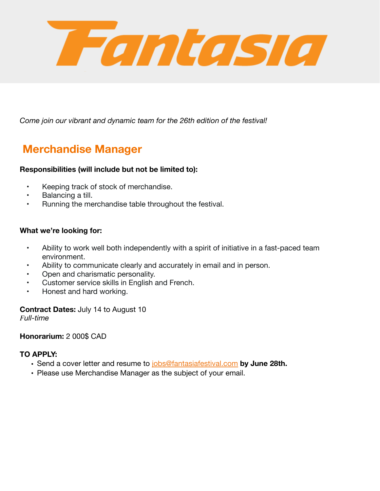

*Come join our vibrant and dynamic team for the 26th edition of the festival!* 

# **Merchandise Manager**

### **Responsibilities (will include but not be limited to):**

- Keeping track of stock of merchandise.
- Balancing a till.
- Running the merchandise table throughout the festival.

### **What we're looking for:**

- Ability to work well both independently with a spirit of initiative in a fast-paced team environment.
- Ability to communicate clearly and accurately in email and in person.
- Open and charismatic personality.
- Customer service skills in English and French.
- Honest and hard working.

## **Contract Dates:** July 14 to August 10

*Full-time* 

### **Honorarium:** 2 000\$ CAD

### **TO APPLY:**

- **•** Send a cover letter and resume to [jobs@fantasiafestival.com](mailto:jobs@fantasiafestival.com) **by June 28th.**
- Please use Merchandise Manager as the subject of your email.